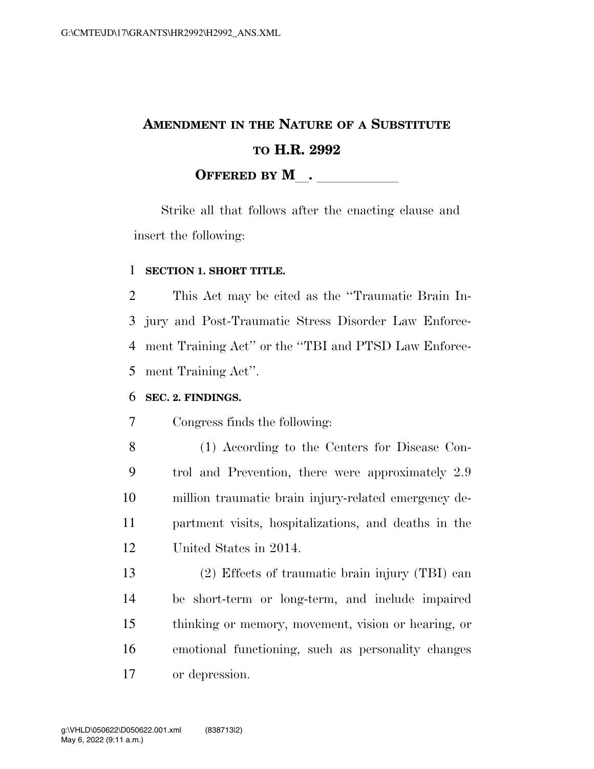# **AMENDMENT IN THE NATURE OF A SUBSTITUTE TO H.R. 2992 OFFERED BY M**.

Strike all that follows after the enacting clause and insert the following:

#### **SECTION 1. SHORT TITLE.**

 This Act may be cited as the ''Traumatic Brain In- jury and Post-Traumatic Stress Disorder Law Enforce- ment Training Act'' or the ''TBI and PTSD Law Enforce-ment Training Act''.

#### **SEC. 2. FINDINGS.**

Congress finds the following:

 (1) According to the Centers for Disease Con- trol and Prevention, there were approximately 2.9 million traumatic brain injury-related emergency de- partment visits, hospitalizations, and deaths in the United States in 2014.

 (2) Effects of traumatic brain injury (TBI) can be short-term or long-term, and include impaired thinking or memory, movement, vision or hearing, or emotional functioning, such as personality changes or depression.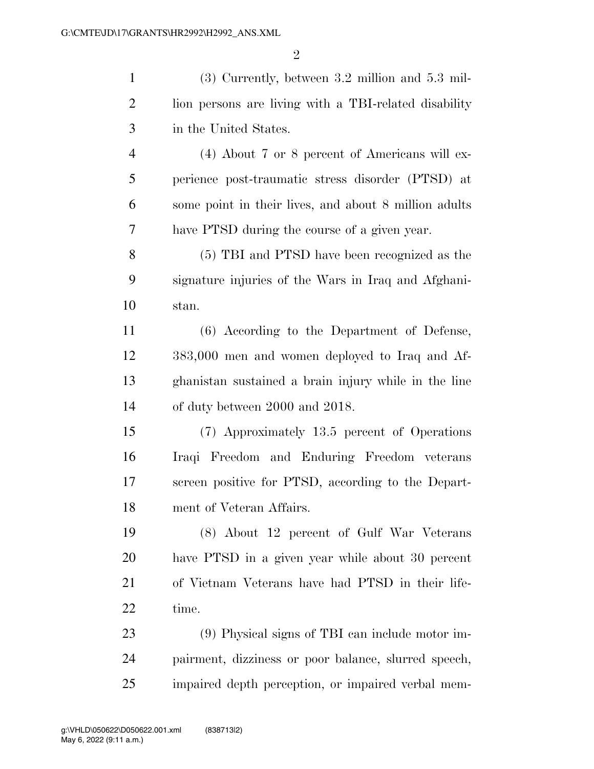(3) Currently, between 3.2 million and 5.3 mil- lion persons are living with a TBI-related disability in the United States. (4) About 7 or 8 percent of Americans will ex- perience post-traumatic stress disorder (PTSD) at some point in their lives, and about 8 million adults have PTSD during the course of a given year. (5) TBI and PTSD have been recognized as the signature injuries of the Wars in Iraq and Afghani- stan. (6) According to the Department of Defense, 383,000 men and women deployed to Iraq and Af-ghanistan sustained a brain injury while in the line

of duty between 2000 and 2018.

 (7) Approximately 13.5 percent of Operations Iraqi Freedom and Enduring Freedom veterans screen positive for PTSD, according to the Depart-ment of Veteran Affairs.

 (8) About 12 percent of Gulf War Veterans have PTSD in a given year while about 30 percent of Vietnam Veterans have had PTSD in their life-22 time.

 (9) Physical signs of TBI can include motor im- pairment, dizziness or poor balance, slurred speech, impaired depth perception, or impaired verbal mem-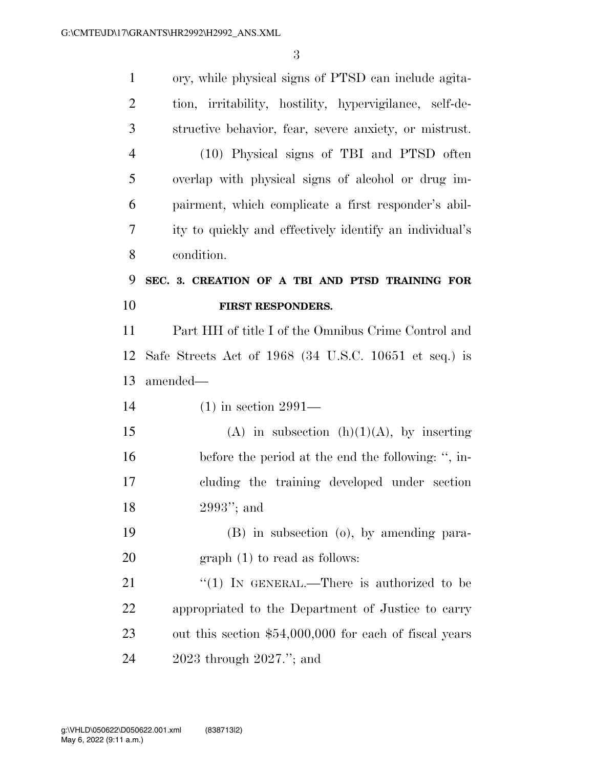ory, while physical signs of PTSD can include agita- tion, irritability, hostility, hypervigilance, self-de- structive behavior, fear, severe anxiety, or mistrust. (10) Physical signs of TBI and PTSD often overlap with physical signs of alcohol or drug im- pairment, which complicate a first responder's abil- ity to quickly and effectively identify an individual's condition. **SEC. 3. CREATION OF A TBI AND PTSD TRAINING FOR FIRST RESPONDERS.**  Part HH of title I of the Omnibus Crime Control and Safe Streets Act of 1968 (34 U.S.C. 10651 et seq.) is amended— (1) in section 2991— 15 (A) in subsection  $(h)(1)(A)$ , by inserting before the period at the end the following: '', in- cluding the training developed under section 2993''; and (B) in subsection (o), by amending para- graph (1) to read as follows: 21 "(1) In GENERAL.—There is authorized to be appropriated to the Department of Justice to carry out this section \$54,000,000 for each of fiscal years 2023 through 2027.''; and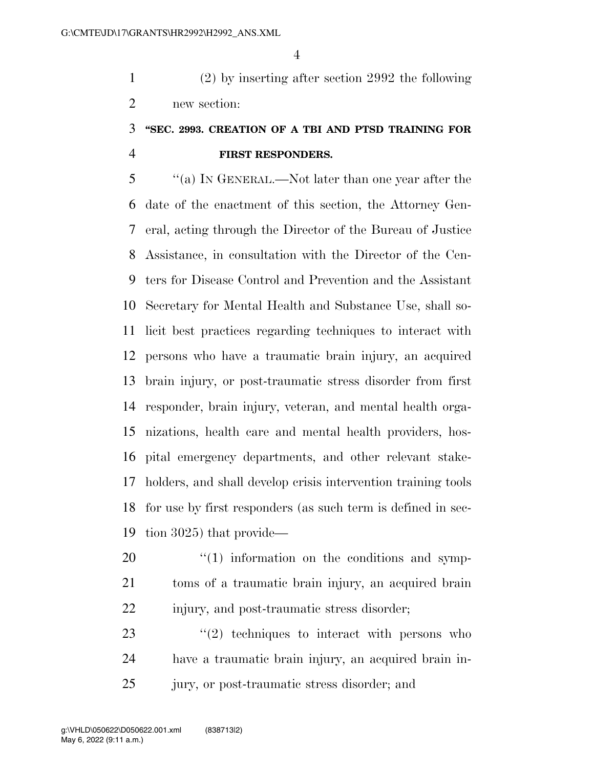(2) by inserting after section 2992 the following new section:

### **''SEC. 2993. CREATION OF A TBI AND PTSD TRAINING FOR FIRST RESPONDERS.**

 ''(a) IN GENERAL.—Not later than one year after the date of the enactment of this section, the Attorney Gen- eral, acting through the Director of the Bureau of Justice Assistance, in consultation with the Director of the Cen- ters for Disease Control and Prevention and the Assistant Secretary for Mental Health and Substance Use, shall so- licit best practices regarding techniques to interact with persons who have a traumatic brain injury, an acquired brain injury, or post-traumatic stress disorder from first responder, brain injury, veteran, and mental health orga- nizations, health care and mental health providers, hos- pital emergency departments, and other relevant stake- holders, and shall develop crisis intervention training tools for use by first responders (as such term is defined in sec-tion 3025) that provide—

  $\qquad$   $\qquad$   $\qquad$   $\qquad$   $\qquad$   $\qquad$   $\qquad$   $\qquad$   $\qquad$   $\qquad$   $\qquad$   $\qquad$   $\qquad$   $\qquad$   $\qquad$   $\qquad$   $\qquad$   $\qquad$   $\qquad$   $\qquad$   $\qquad$   $\qquad$   $\qquad$   $\qquad$   $\qquad$   $\qquad$   $\qquad$   $\qquad$   $\qquad$   $\qquad$   $\qquad$   $\qquad$   $\qquad$   $\qquad$   $\qquad$   $\qquad$  toms of a traumatic brain injury, an acquired brain injury, and post-traumatic stress disorder;

23  $\frac{1}{2}$  techniques to interact with persons who have a traumatic brain injury, an acquired brain in-jury, or post-traumatic stress disorder; and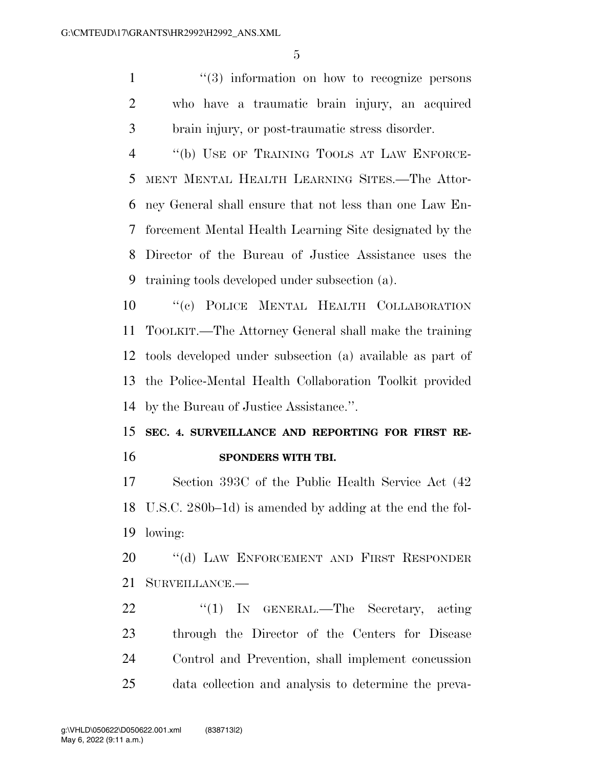1 ''(3) information on how to recognize persons who have a traumatic brain injury, an acquired brain injury, or post-traumatic stress disorder.

 ''(b) USE OF TRAINING TOOLS AT LAW ENFORCE- MENT MENTAL HEALTH LEARNING SITES.—The Attor- ney General shall ensure that not less than one Law En- forcement Mental Health Learning Site designated by the Director of the Bureau of Justice Assistance uses the training tools developed under subsection (a).

 ''(c) POLICE MENTAL HEALTH COLLABORATION TOOLKIT.—The Attorney General shall make the training tools developed under subsection (a) available as part of the Police-Mental Health Collaboration Toolkit provided by the Bureau of Justice Assistance.''.

### **SEC. 4. SURVEILLANCE AND REPORTING FOR FIRST RE-SPONDERS WITH TBI.**

 Section 393C of the Public Health Service Act (42 U.S.C. 280b–1d) is amended by adding at the end the fol-lowing:

20 "(d) LAW ENFORCEMENT AND FIRST RESPONDER SURVEILLANCE.—

22 "(1) In GENERAL.—The Secretary, acting through the Director of the Centers for Disease Control and Prevention, shall implement concussion data collection and analysis to determine the preva-